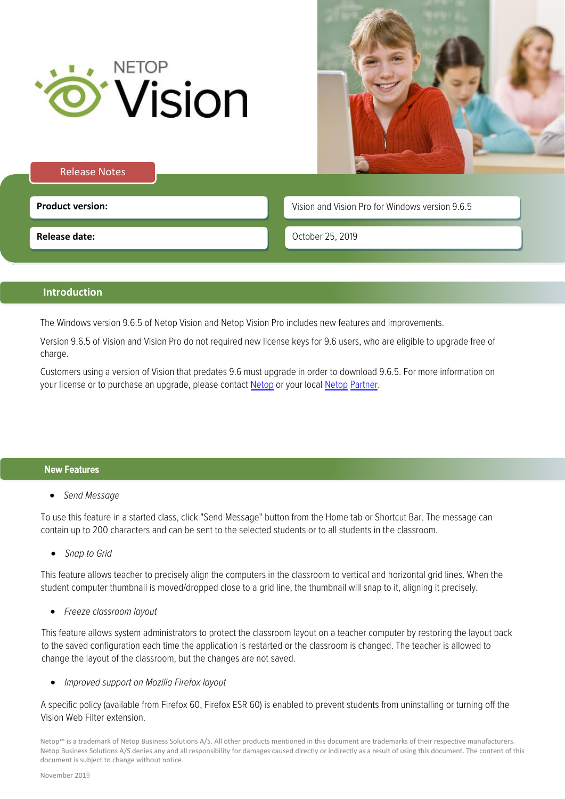



## Release Notes

**Product version: Product version: Vision and Vision Pro for Windows version 9.6.5** 

**Release date:**

October 25, 2019

# **Introduction**

The Windows version 9.6.5 of Netop Vision and Netop Vision Pro includes new features and improvements.

Version 9.6.5 of Vision and Vision Pro do not required new license keys for 9.6 users, who are eligible to upgrade free of charge.

Customers using a version of Vision that predates 9.6 must upgrade in order to download 9.6.5. For more information on your license or to purchase an upgrade, please contact [Netop](https://www.netop.com/edu/contact.htm) or your local Netop Partner.

### New Features

• Send Message

To use this feature in a started class, click "Send Message" button from the Home tab or Shortcut Bar. The message can contain up to 200 characters and can be sent to the selected students or to all students in the classroom.

• Snap to Grid

This feature allows teacher to precisely align the computers in the classroom to vertical and horizontal grid lines. When the student computer thumbnail is moved/dropped close to a grid line, the thumbnail will snap to it, aligning it precisely.

• Freeze classroom layout

This feature allows system administrators to protect the classroom layout on a teacher computer by restoring the layout back to the saved configuration each time the application is restarted or the classroom is changed. The teacher is allowed to change the layout of the classroom, but the changes are not saved.

• Improved support on Mozilla Firefox layout

A specific policy (available from Firefox 60, Firefox ESR 60) is enabled to prevent students from uninstalling or turning off the Vision Web Filter extension.

Netop™ is a trademark of Netop Business Solutions A/S. All other products mentioned in this document are trademarks of their respective manufacturers. Netop Business Solutions A/S denies any and all responsibility for damages caused directly or indirectly as a result of using this document. The content of this document is subject to change without notice.